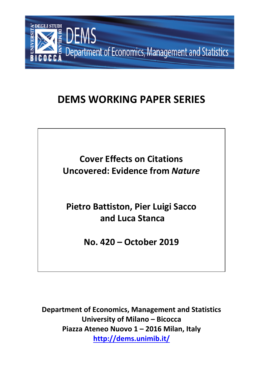

# **DEMS WORKING PAPER SERIES**

**Cover Effects on Citations Uncovered: Evidence from** *Nature*

**Pietro Battiston, Pier Luigi Sacco and Luca Stanca**

**No. 420 – October 2019**

**Department of Economics, Management and Statistics University of Milano – Bicocca Piazza Ateneo Nuovo 1 – 2016 Milan, Italy http://dems.unimib.it/**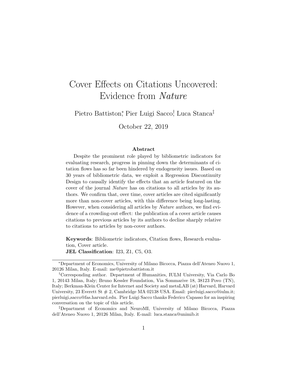## <span id="page-1-0"></span>Cover Effects on Citations Uncovered: Evidence from Nature

Pietro Battiston,<sup>\*</sup> Pier Luigi Sacco,† Luca Stanca<sup>‡</sup>

October 22, 2019

#### Abstract

Despite the prominent role played by bibliometric indicators for evaluating research, progress in pinning down the determinants of citation flows has so far been hindered by endogeneity issues. Based on 30 years of bibliometric data, we exploit a Regression Discontinuity Design to causally identify the effects that an article featured on the cover of the journal Nature has on citations to all articles by its authors. We confirm that, over time, cover articles are cited significantly more than non-cover articles, with this difference being long-lasting. However, when considering all articles by Nature authors, we find evidence of a crowding-out effect: the publication of a cover article causes citations to previous articles by its authors to decline sharply relative to citations to articles by non-cover authors.

Keywords: Bibliometric indicators, Citation flows, Research evaluation, Cover article.

JEL Classification: I23, Z1, C5, O3.

<sup>∗</sup>Department of Economics, University of Milano Bicocca, Piazza dell'Ateneo Nuovo 1, 20126 Milan, Italy. E-mail: me@pietrobattiston.it

<sup>†</sup>Corresponding author. Department of Humanities, IULM University, Via Carlo Bo 1, 20143 Milan, Italy; Bruno Kessler Foundation, Via Sommarive 18, 38123 Povo (TN), Italy; Berkman-Klein Center for Internet and Society and metaLAB (at) Harvard, Harvard University, 23 Everett St  $\#$  2, Cambridge MA 02138 USA. Email: pierluigi.sacco@iulm.it; pierluigi sacco@fas.harvard.edu. Pier Luigi Sacco thanks Federico Capasso for an inspiring conversation on the topic of this article.

<sup>‡</sup>Department of Economics and NeuroMI, University of Milano Bicocca, Piazza dell'Ateneo Nuovo 1, 20126 Milan, Italy. E-mail: luca.stanca@unimib.it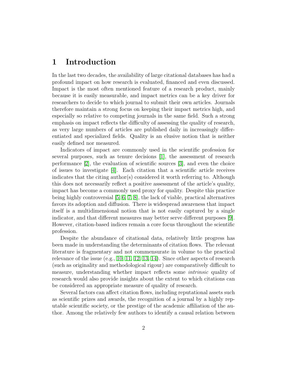## 1 Introduction

In the last two decades, the availability of large citational databases has had a profound impact on how research is evaluated, financed and even discussed. Impact is the most often mentioned feature of a research product, mainly because it is easily measurable, and impact metrics can be a key driver for researchers to decide to which journal to submit their own articles. Journals therefore maintain a strong focus on keeping their impact metrics high, and especially so relative to competing journals in the same field. Such a strong emphasis on impact reflects the difficulty of assessing the quality of research, as very large numbers of articles are published daily in increasingly differentiated and specialized fields. Quality is an elusive notion that is neither easily defined nor measured.

Indicators of impact are commonly used in the scientific profession for several purposes, such as tenure decisions [\[1\]](#page-14-0), the assessment of research performance [\[2\]](#page-14-1), the evaluation of scientific sources [\[3\]](#page-14-2), and even the choice of issues to investigate [\[4\]](#page-14-3). Each citation that a scientific article receives indicates that the citing author(s) considered it worth referring to. Although this does not necessarily reflect a positive assessment of the article's quality, impact has become a commonly used proxy for quality. Despite this practice being highly controversial [\[5,](#page-14-4) [6,](#page-14-5) [7,](#page-14-6) [8\]](#page-14-7), the lack of viable, practical alternatives favors its adoption and diffusion. There is widespread awareness that impact itself is a multidimensional notion that is not easily captured by a single indicator, and that different measures may better serve different purposes [\[9\]](#page-14-8). However, citation-based indices remain a core focus throughout the scientific profession.

Despite the abundance of citational data, relatively little progress has been made in understanding the determinants of citation flows. The relevant literature is fragmentary and not commensurate in volume to the practical relevance of the issue (e.g., [10,](#page-14-9) [11,](#page-14-10) [12,](#page-14-11) [13,](#page-15-0) [14\)](#page-15-1). Since other aspects of research (such as originality and methodological rigour) are comparatively difficult to measure, understanding whether impact reflects some intrinsic quality of research would also provide insights about the extent to which citations can be considered an appropriate measure of quality of research.

Several factors can affect citation flows, including reputational assets such as scientific prizes and awards, the recognition of a journal by a highly reputable scientific society, or the prestige of the academic affiliation of the author. Among the relatively few authors to identify a causal relation between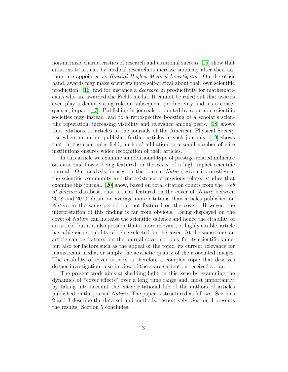non-intrinsic characteristics of research and citational success, [\[15\]](#page-15-2) show that citations to articles by medical researchers increase suddenly after their authors are appointed as Howard Hughes Medical Investigator. On the other hand, awards may make scientists more self-critical about their own scientific production. [\[16\]](#page-15-3) find for instance a decrease in productivity for mathematicians who are awarded the Fields medal. It cannot be ruled out that awards even play a demotivating role on subsequent productivity and, as a consequence, impact [\[17\]](#page-15-4). Publishing in journals promoted by reputable scientific societies may instead lead to a retrospective boosting of a scholar's scientific reputation, increasing visibility and relevance among peers. [\[18\]](#page-15-5) shows that citations to articles in the journals of the American Physical Society rise when an author publishes further articles in such journals. [\[19\]](#page-15-6) shows that, in the economics field, authors' affiliation to a small number of elite institutions ensures wider recognition of their articles.

In this article we examine an additional type of prestige-related influence on citational flows: being featured on the cover of a high-impact scientific journal. Our analysis focuses on the journal Nature, given its prestige in the scientific community and the existence of previous related studies that examine this journal. [\[20\]](#page-15-7) show, based on total citation counts from the Web of Science database, that articles featured on the cover of Nature between 2008 and 2010 obtain on average more citations than articles published on Nature in the same period but not featured on the cover. However, the interpretation of this finding is far from obvious. Being displayed on the cover of Nature can increase the scientific salience and hence the citability of an article, but it is also possible that a more relevant, or highly citable, article has a higher probability of being selected for the cover. At the same time, an article can be featured on the journal cover not only for its scientific value, but also for factors such as the appeal of the topic, its current relevance for mainstream media, or simply the aesthetic quality of the associated images. The citability of cover articles is therefore a complex topic that deserves deeper investigation, also in view of the scarce attention received so far.

The present work aims at shedding light on this issue by examining the dynamics of "cover effects" over a long time range and, most importantly, by taking into account the entire citational life of the authors of articles published on the journal Nature. The paper is structured as follows. Sections 2 and 3 describe the data set and methods, respectively. Section 4 presents the results. Section 5 concludes.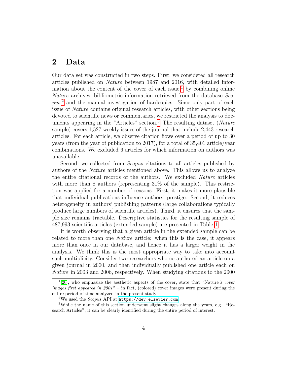## 2 Data

Our data set was constructed in two steps. First, we considered all research articles published on Nature between 1987 and 2016, with detailed infor-mation about the content of the cover of each issue,<sup>[1](#page-1-0)</sup> by combining online Nature archives, bibliometric information retrieved from the database Sco-pus,<sup>[2](#page-1-0)</sup> and the manual investigation of hardcopies. Since only part of each issue of Nature contains original research articles, with other sections being devoted to scientific news or commentaries, we restricted the analysis to doc-uments appearing in the "Articles" section.<sup>[3](#page-1-0)</sup> The resulting dataset (Nature sample) covers 1,527 weekly issues of the journal that include 2,443 research articles. For each article, we observe citation flows over a period of up to 30 years (from the year of publication to 2017), for a total of 35,401 article/year combinations. We excluded 6 articles for which information on authors was unavailable.

Second, we collected from *Scopus* citations to all articles published by authors of the Nature articles mentioned above. This allows us to analyze the entire citational records of the authors. We excluded Nature articles with more than 8 authors (representing  $31\%$  of the sample). This restriction was applied for a number of reasons. First, it makes it more plausible that individual publications influence authors' prestige. Second, it reduces heterogeneity in authors' publishing patterns (large collaborations typically produce large numbers of scientific articles). Third, it ensures that the sample size remains tractable. Descriptive statistics for the resulting sample of 487,993 scientific articles (extended sample) are presented in Table [1.](#page-5-0)

It is worth observing that a given article in the extended sample can be related to more than one Nature article: when this is the case, it appears more than once in our database, and hence it has a larger weight in the analysis. We think this is the most appropriate way to take into account such multiplicity. Consider two researchers who co-authored an article on a given journal in 2000, and then individually published one article each on Nature in 2003 and 2006, respectively. When studying citations to the 2000

 $1[20]$  $1[20]$ , who emphasize the aesthetic aspects of the cover, state that "Nature's cover images first appeared in  $2001"$  – in fact, (colored) cover images were present during the entire period of time analyzed in the present study.

<sup>&</sup>lt;sup>2</sup>We used the *Scopus* API at  $h$ ttps://dev.elsevier.com.

<sup>3</sup>While the name of this section underwent slight changes along the years, e.g., "Research Articles", it can be clearly identified during the entire period of interest.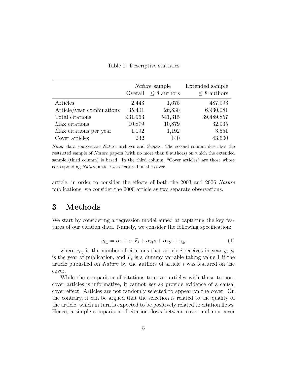|                           |         | <i>Nature</i> sample<br>Overall $\leq 8$ authors | Extended sample<br>$\leq 8$ authors |
|---------------------------|---------|--------------------------------------------------|-------------------------------------|
| Articles                  | 2,443   | 1,675                                            | 487,993                             |
| Article/year combinations | 35,401  | 26,838                                           | 6,930,081                           |
| Total citations           | 931,963 | 541,315                                          | 39,489,857                          |
| Max citations             | 10,879  | 10,879                                           | 32,935                              |
| Max citations per year    | 1,192   | 1,192                                            | 3,551                               |
| Cover articles            | 232     | 140                                              | 43,600                              |

#### <span id="page-5-0"></span>Table 1: Descriptive statistics

Note: data sources are Nature archives and Scopus. The second column describes the restricted sample of Nature papers (with no more than 8 authors) on which the extended sample (third column) is based. In the third column, "Cover articles" are those whose corresponding Nature article was featured on the cover.

article, in order to consider the effects of both the 2003 and 2006 Nature publications, we consider the 2000 article as two separate observations.

## 3 Methods

<span id="page-5-1"></span>We start by considering a regression model aimed at capturing the key features of our citation data. Namely, we consider the following specification:

$$
c_{i,y} = \alpha_0 + \alpha_1 F_i + \alpha_2 p_i + \alpha_3 y + \epsilon_{i,y}
$$
\n<sup>(1)</sup>

where  $c_{i,y}$  is the number of citations that article i receives in year y,  $p_i$ is the year of publication, and  $F_i$  is a dummy variable taking value 1 if the article published on *Nature* by the authors of article  $i$  was featured on the cover.

While the comparison of citations to cover articles with those to noncover articles is informative, it cannot per se provide evidence of a causal cover effect. Articles are not randomly selected to appear on the cover. On the contrary, it can be argued that the selection is related to the quality of the article, which in turn is expected to be positively related to citation flows. Hence, a simple comparison of citation flows between cover and non-cover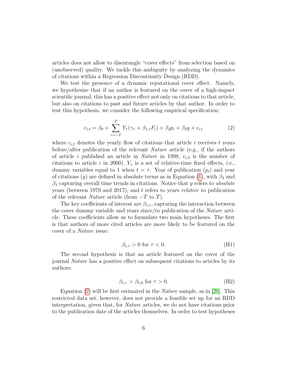articles does not allow to disentangle "cover effects" from selection based on (unobserved) quality. We tackle this ambiguity by analyzing the dynamics of citations within a Regression Discontinuity Design (RDD).

We test the presence of a dynamic reputational cover effect. Namely, we hypothesize that if an author is featured on the cover of a high-impact scientific journal, this has a positive effect not only on citations to that article, but also on citations to past and future articles by that author. In order to test this hypothesis, we consider the following empirical specification:

$$
c_{i,t} = \beta_0 + \sum_{\tau=-T}^{T} Y_{\tau} (\gamma_{\tau} + \beta_{1,\tau} F_i) + \beta_2 p_i + \beta_3 y + \epsilon_{i,t}
$$
 (2)

<span id="page-6-0"></span>where  $c_{i,t}$  denotes the yearly flow of citations that article i receives t years before/after publication of the relevant Nature article (e.g., if the authors of article i published an article in *Nature* in 1998,  $c_{i,2}$  is the number of citations to article i in 2000),  $Y_\tau$  is a set of relative-time fixed effects, i.e., dummy variables equal to 1 when  $t = \tau$ . Year of publication  $(p_i)$  and year of citations (y) are defined in absolute terms as in Equation [\(1\)](#page-5-1), with  $\beta_2$  and  $\beta_3$  capturing overall time trends in citations. Notice that y refers to absolute years (between 1970 and 2017), and t refers to years relative to publication of the relevant *Nature* article (from  $-T$  to  $T$ ).

The key coefficients of interest are  $\beta_{1,\tau}$ , capturing the interaction between the cover dummy variable and years since/to publication of the Nature article. These coefficients allow us to formulate two main hypotheses. The first is that authors of more cited articles are more likely to be featured on the cover of a Nature issue:

$$
\beta_{1,\tau} > 0 \text{ for } \tau < 0. \tag{H1}
$$

The second hypothesis is that an article featured on the cover of the journal Nature has a positive effect on subsequent citations to articles by its authors:

$$
\beta_{1,\tau} > \beta_{1,0} \text{ for } \tau > 0. \tag{H2}
$$

Equation  $(2)$  will be first estimated in the *Nature* sample, as in [\[20\]](#page-15-7). This restricted data set, however, does not provide a feasible set up for an RDD interpretation, given that, for Nature articles, we do not have citations prior to the publication date of the articles themselves. In order to test hypotheses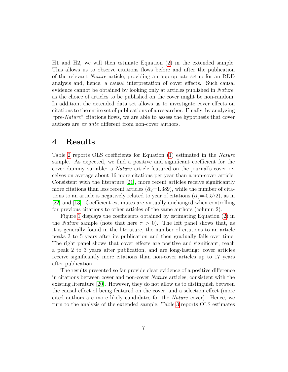H1 and H2, we will then estimate Equation [\(2\)](#page-6-0) in the extended sample. This allows us to observe citations flows before and after the publication of the relevant Nature article, providing an appropriate setup for an RDD analysis and, hence, a causal interpretation of cover effects. Such causal evidence cannot be obtained by looking only at articles published in Nature, as the choice of articles to be published on the cover might be non-random. In addition, the extended data set allows us to investigate cover effects on citations to the entire set of publications of a researcher. Finally, by analyzing "pre-Nature" citations flows, we are able to assess the hypothesis that cover authors are ex ante different from non-cover authors.

## 4 Results

Table [2](#page-8-0) reports OLS coefficients for Equation [\(1\)](#page-5-1) estimated in the Nature sample. As expected, we find a positive and significant coefficient for the cover dummy variable: a Nature article featured on the journal's cover receives on average about 16 more citations per year than a non-cover article. Consistent with the literature [\[21\]](#page-15-8), more recent articles receive significantly more citations than less recent articles ( $\hat{\alpha}_2$ =1.389), while the number of citations to an article is negatively related to year of citations ( $\hat{\alpha}_3 = 0.572$ ), as in [\[22\]](#page-15-9) and [\[13\]](#page-15-0). Coefficient estimates are virtually unchanged when controlling for previous citations to other articles of the same authors (column 2).

Figure [1](#page-8-1) displays the coefficients obtained by estimating Equation [\(2\)](#page-6-0) in the *Nature* sample (note that here  $\tau > 0$ ). The left panel shows that, as it is generally found in the literature, the number of citations to an article peaks 3 to 5 years after its publication and then gradually falls over time. The right panel shows that cover effects are positive and significant, reach a peak 2 to 3 years after publication, and are long-lasting: cover articles receive significantly more citations than non-cover articles up to 17 years after publication.

The results presented so far provide clear evidence of a positive difference in citations between cover and non-cover Nature articles, consistent with the existing literature [\[20\]](#page-15-7). However, they do not allow us to distinguish between the causal effect of being featured on the cover, and a selection effect (more cited authors are more likely candidates for the Nature cover). Hence, we turn to the analysis of the extended sample. Table [3](#page-9-0) reports OLS estimates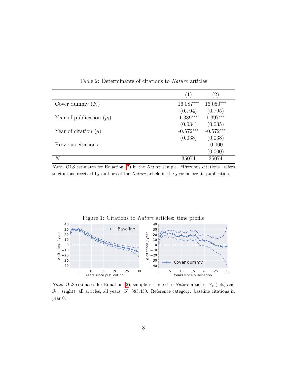|                             | (1)                               | $^{(2)}$                          |
|-----------------------------|-----------------------------------|-----------------------------------|
| Cover dummy $(F_i)$         | $16.087***$                       | $16.050***$                       |
| Year of publication $(p_i)$ | (0.794)<br>$1.389***$             | (0.795)<br>$1.397***$             |
| Year of citation $(y)$      | (0.034)<br>$-0.572***$<br>(0.038) | (0.035)<br>$-0.572***$<br>(0.038) |
| Previous citations          |                                   | $-0.000$<br>(0.000)               |
|                             | 35074                             | 35074                             |

<span id="page-8-0"></span>Table 2: Determinants of citations to Nature articles

Note: OLS estimates for Equation [\(2\)](#page-6-0) in the Nature sample. "Previous citations" refers to citations received by authors of the Nature article in the year before its publication.

<span id="page-8-1"></span>

*Note:* OLS estimates for Equation [\(2\)](#page-6-0), sample restricted to *Nature* articles:  $Y_\tau$  (left) and  $\beta_{1,\tau}$  (right); all articles, all years. N=383,430. Reference category: baseline citations in year 0.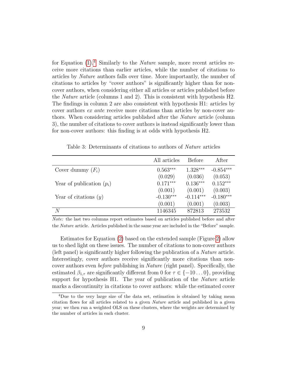for Equation  $(1)$ .<sup>[4](#page-1-0)</sup> Similarly to the *Nature* sample, more recent articles receive more citations than earlier articles, while the number of citations to articles by Nature authors falls over time. More importantly, the number of citations to articles by "cover authors" is significantly higher than for noncover authors, when considering either all articles or articles published before the Nature article (columns 1 and 2). This is consistent with hypothesis H2. The findings in column 2 are also consistent with hypothesis H1: articles by cover authors ex ante receive more citations than articles by non-cover authors. When considering articles published after the Nature article (column 3), the number of citations to cover authors is instead significantly lower than for non-cover authors: this finding is at odds with hypothesis H2.

<span id="page-9-0"></span>Table 3: Determinants of citations to authors of Nature articles

|                             | All articles | Before      | After       |
|-----------------------------|--------------|-------------|-------------|
| Cover dummy $(F_i)$         | $0.563***$   | $1.328***$  | $-0.854***$ |
|                             | (0.029)      | (0.036)     | (0.053)     |
| Year of publication $(p_i)$ | $0.171***$   | $0.136***$  | $0.152***$  |
|                             | (0.001)      | (0.001)     | (0.003)     |
| Year of citations $(y)$     | $-0.130***$  | $-0.114***$ | $-0.180***$ |
|                             | (0.001)      | (0.001)     | (0.003)     |
| N                           | 1146345      | 872813      | 273532      |

Note: the last two columns report estimates based on articles published before and after the Nature article. Articles published in the same year are included in the "Before" sample.

Estimates for Equation [\(2\)](#page-6-0) based on the extended sample (Figure [2\)](#page-10-0) allow us to shed light on these issues. The number of citations to non-cover authors (left panel) is significantly higher following the publication of a Nature article. Interestingly, cover authors receive significantly more citations than noncover authors even before publishing in Nature (right panel). Specifically, the estimated  $\beta_{1,\tau}$  are significantly different from 0 for  $\tau \in \{-10...0\}$ , providing support for hypothesis H1. The year of publication of the *Nature* article marks a discontinuity in citations to cover authors: while the estimated cover

<sup>&</sup>lt;sup>4</sup>Due to the very large size of the data set, estimation is obtained by taking mean citation flows for all articles related to a given Nature article and published in a given year; we then run a weighted OLS on these clusters, where the weights are determined by the number of articles in each cluster.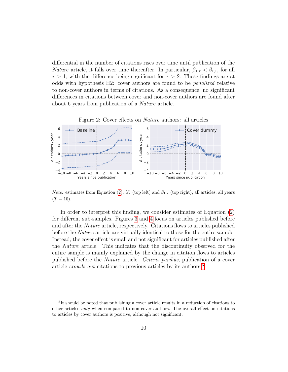differential in the number of citations rises over time until publication of the *Nature* article, it falls over time thereafter. In particular,  $\beta_{1,\tau} < \beta_{1,1}$ , for all  $\tau > 1$ , with the difference being significant for  $\tau > 2$ . These findings are at odds with hypothesis H2: cover authors are found to be penalized relative to non-cover authors in terms of citations. As a consequence, no significant differences in citations between cover and non-cover authors are found after about 6 years from publication of a Nature article.

<span id="page-10-0"></span>



*Note:* estimates from Equation [\(2\)](#page-6-0):  $Y_\tau$  (top left) and  $\beta_{1,\tau}$  (top right); all articles, all years  $(T = 10).$ 

In order to interpret this finding, we consider estimates of Equation [\(2\)](#page-6-0) for different sub-samples. Figures [3](#page-11-0) and [4](#page-11-1) focus on articles published before and after the Nature article, respectively. Citations flows to articles published before the Nature article are virtually identical to those for the entire sample. Instead, the cover effect is small and not significant for articles published after the Nature article. This indicates that the discontinuity observed for the entire sample is mainly explained by the change in citation flows to articles published before the Nature article. Ceteris paribus, publication of a cover article *crowds out* citations to previous articles by its authors.<sup>[5](#page-1-0)</sup>

<sup>&</sup>lt;sup>5</sup>It should be noted that publishing a cover article results in a reduction of citations to other articles only when compared to non-cover authors. The overall effect on citations to articles by cover authors is positive, although not significant.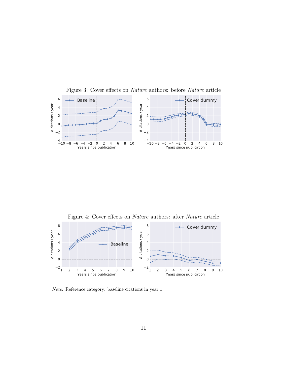<span id="page-11-0"></span>

<span id="page-11-1"></span>

Note: Reference category: baseline citations in year 1.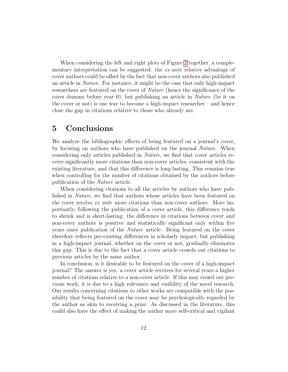When considering the left and right plots of Figure [2](#page-10-0) together, a complementary interpretation can be suggested: the *ex-ante* relative advantage of cover authors could be offset by the fact that non-cover authors also published an article in Nature. For instance, it might be the case that only high-impact researchers are featured on the cover of Nature (hence the significance of the cover dummy before year 0), but publishing an article in Nature (be it on the cover or not) is one way to become a high-impact researcher – and hence close the gap in citations relative to those who already are.

## 5 Conclusions

We analyze the bibliographic effects of being featured on a journal's cover, by focusing on authors who have published on the journal *Nature*. When considering only articles published in Nature, we find that cover articles receive significantly more citations than non-cover articles, consistent with the existing literature, and that this difference is long-lasting. This remains true when controlling for the number of citations obtained by the authors before publication of the Nature article.

When considering citations to all the articles by authors who have published in Nature, we find that authors whose articles have been featured on the cover receive ex ante more citations than non-cover authors. More importantly, following the publication of a cover article, this difference tends to shrink and is short-lasting: the difference in citations between cover and non-cover authors is positive and statistically significant only within five years since publication of the Nature article. Being featured on the cover therefore reflects pre-existing differences in scholarly impact, but publishing in a high-impact journal, whether on the cover or not, gradually eliminates this gap. This is due to the fact that a cover article crowds out citations to previous articles by the same author.

In conclusion, is it desirable to be featured on the cover of a high-impact journal? The answer is yes: a cover article receives for several years a higher number of citations relative to a non-cover article. If this may crowd out previous work, it is due to a high relevance and visibility of the novel research. Our results concerning citations to other works are compatible with the possibility that being featured on the cover may be psychologically regarded by the author as akin to receiving a prize. As discussed in the literature, this could also have the effect of making the author more self-critical and vigilant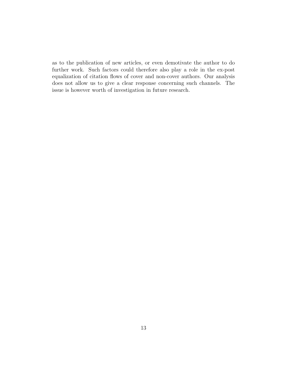as to the publication of new articles, or even demotivate the author to do further work. Such factors could therefore also play a role in the ex-post equalization of citation flows of cover and non-cover authors. Our analysis does not allow us to give a clear response concerning such channels. The issue is however worth of investigation in future research.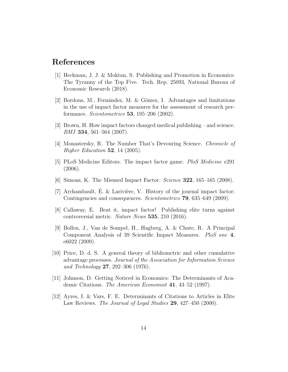## References

- <span id="page-14-0"></span>[1] Heckman, J. J. & Moktan, S. Publishing and Promotion in Economics: The Tyranny of the Top Five. Tech. Rep. 25093, National Bureau of Economic Research (2018).
- <span id="page-14-1"></span>[2] Bordons, M., Fernández, M. & Gómez, I. Advantages and limitations in the use of impact factor measures for the assessment of research performance. Scientometrics 53, 195–206 (2002).
- <span id="page-14-2"></span>[3] Brown, H. How impact factors changed medical publishing – and science. BMJ 334, 561–564 (2007).
- <span id="page-14-3"></span>[4] Monastersky, R. The Number That's Devouring Science. Chronicle of Higher Education  $52$ , 14 (2005).
- <span id="page-14-4"></span>[5] PLoS Medicine Editors. The impact factor game. PloS Medicine e291 (2006).
- <span id="page-14-5"></span>[6] Simons, K. The Misused Impact Factor. Science 322, 165–165 (2008).
- <span id="page-14-6"></span>[7] Archambault, E. & Larivière, V. History of the journal impact factor: Contingencies and consequences. Scientometrics 79, 635–649 (2009).
- <span id="page-14-7"></span>[8] Callaway, E. Beat it, impact factor! Publishing elite turns against controversial metric. Nature News 535, 210 (2016).
- <span id="page-14-8"></span>[9] Bollen, J., Van de Sompel, H., Hagberg, A. & Chute, R. A Principal Component Analysis of 39 Scientific Impact Measures. PloS one 4, e6022 (2009).
- <span id="page-14-9"></span>[10] Price, D. d. S. A general theory of bibliometric and other cumulative advantage processes. Journal of the Association for Information Science and Technology 27, 292–306 (1976).
- <span id="page-14-10"></span>[11] Johnson, D. Getting Noticed in Economics: The Determinants of Academic Citations. The American Economist 41, 43–52 (1997).
- <span id="page-14-11"></span>[12] Ayres, I. & Vars, F. E. Determinants of Citations to Articles in Elite Law Reviews. *The Journal of Legal Studies* 29, 427–450 (2000).